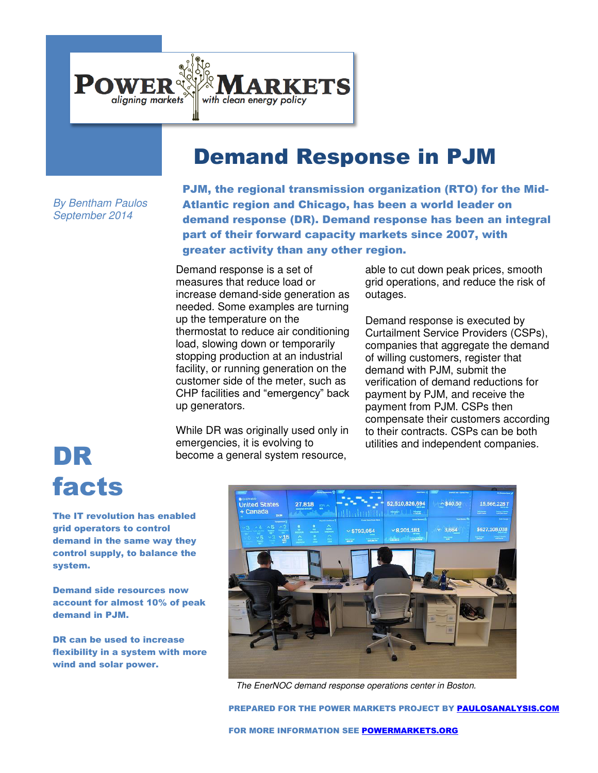

## Demand Response in PJM

*By Bentham Paulos September 2014* 

PJM, the regional transmission organization (RTO) for the Mid-Atlantic region and Chicago, has been a world leader on demand response (DR). Demand response has been an integral part of their forward capacity markets since 2007, with greater activity than any other region.

Demand response is a set of measures that reduce load or increase demand-side generation as needed. Some examples are turning up the temperature on the thermostat to reduce air conditioning load, slowing down or temporarily stopping production at an industrial facility, or running generation on the customer side of the meter, such as CHP facilities and "emergency" back up generators.

While DR was originally used only in emergencies, it is evolving to become a general system resource, emergencies, it is evolving to become a general system resource,<br> **DR** become a general system resource,

able to cut down peak prices, smooth grid operations, and reduce the risk of outages.

Demand response is executed by Curtailment Service Providers (CSPs), companies that aggregate the demand of willing customers, register that demand with PJM, submit the verification of demand reductions for payment by PJM, and receive the payment from PJM. CSPs then compensate their customers according to their contracts. CSPs can be both

## facts

The IT revolution has enabled grid operators to control demand in the same way they control supply, to balance the system.

Demand side resources now account for almost 10% of peak demand in PJM.

DR can be used to increase flexibility in a system with more wind and solar power.



*The EnerNOC demand response operations center in Boston.* 

PREPARED FOR THE POWER MARKETS PROJECT BY [PAULOSANALYSIS.COM](http://www.paulosanalysis.com/)

FOR MORE INFORMATION SEE [POWERMARKETS.ORG](http://www.powermarkets.org/)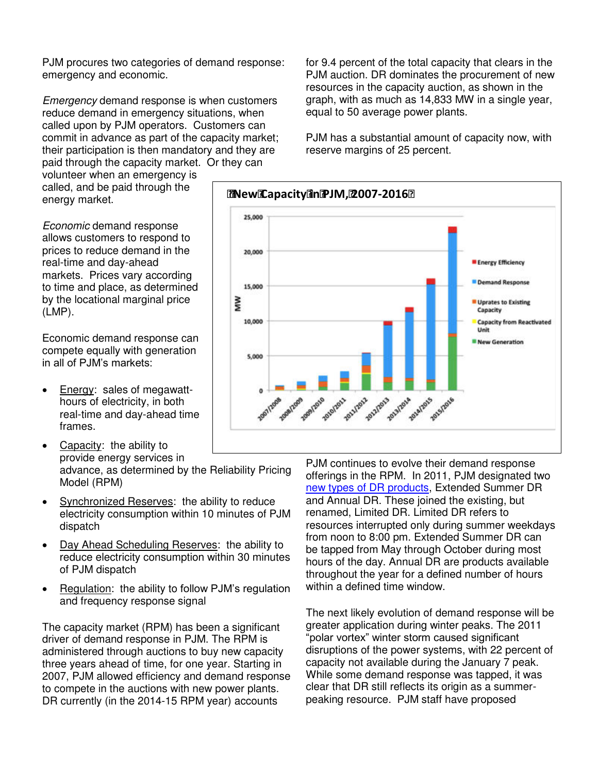PJM procures two categories of demand response: emergency and economic.

*Emergency* demand response is when customers reduce demand in emergency situations, when called upon by PJM operators. Customers can commit in advance as part of the capacity market; their participation is then mandatory and they are paid through the capacity market. Or they can

volunteer when an emergency is called, and be paid through the energy market.

*Economic* demand response allows customers to respond to prices to reduce demand in the real-time and day-ahead markets. Prices vary according to time and place, as determined by the locational marginal price (LMP).

Economic demand response can compete equally with generation in all of PJM's markets:

- Energy: sales of megawatthours of electricity, in both real-time and day-ahead time frames.
- Capacity: the ability to provide energy services in advance, as determined by the Reliability Pricing Model (RPM)  $\overline{a}$
- Synchronized Reserves: the ability to reduce electricity consumption within 10 minutes of PJM dispatch
- Day Ahead Scheduling Reserves: the ability to reduce electricity consumption within 30 minutes of PJM dispatch
- Regulation: the ability to follow PJM's regulation and frequency response signal

The capacity market (RPM) has been a significant driver of demand response in PJM. The RPM is administered through auctions to buy new capacity three years ahead of time, for one year. Starting in 2007, PJM allowed efficiency and demand response to compete in the auctions with new power plants. DR currently (in the 2014-15 RPM year) accounts

for 9.4 percent of the total capacity that clears in the PJM auction. DR dominates the procurement of new resources in the capacity auction, as shown in the graph, with as much as 14,833 MW in a single year, equal to 50 average power plants.

PJM has a substantial amount of capacity now, with reserve margins of 25 percent.



PJM continues to evolve their demand response offerings in the RPM. In 2011, PJM designated two [new types of DR products,](http://www.blankrome.com/index.cfm?contentID=37&itemID=2412) Extended Summer DR and Annual DR. These joined the existing, but renamed, Limited DR. Limited DR refers to resources interrupted only during summer weekdays from noon to 8:00 pm. Extended Summer DR can be tapped from May through October during most hours of the day. Annual DR are products available throughout the year for a defined number of hours within a defined time window.

The next likely evolution of demand response will be greater application during winter peaks. The 2011 "polar vortex" winter storm caused significant disruptions of the power systems, with 22 percent of capacity not available during the January 7 peak. While some demand response was tapped, it was clear that DR still reflects its origin as a summerpeaking resource. PJM staff have proposed